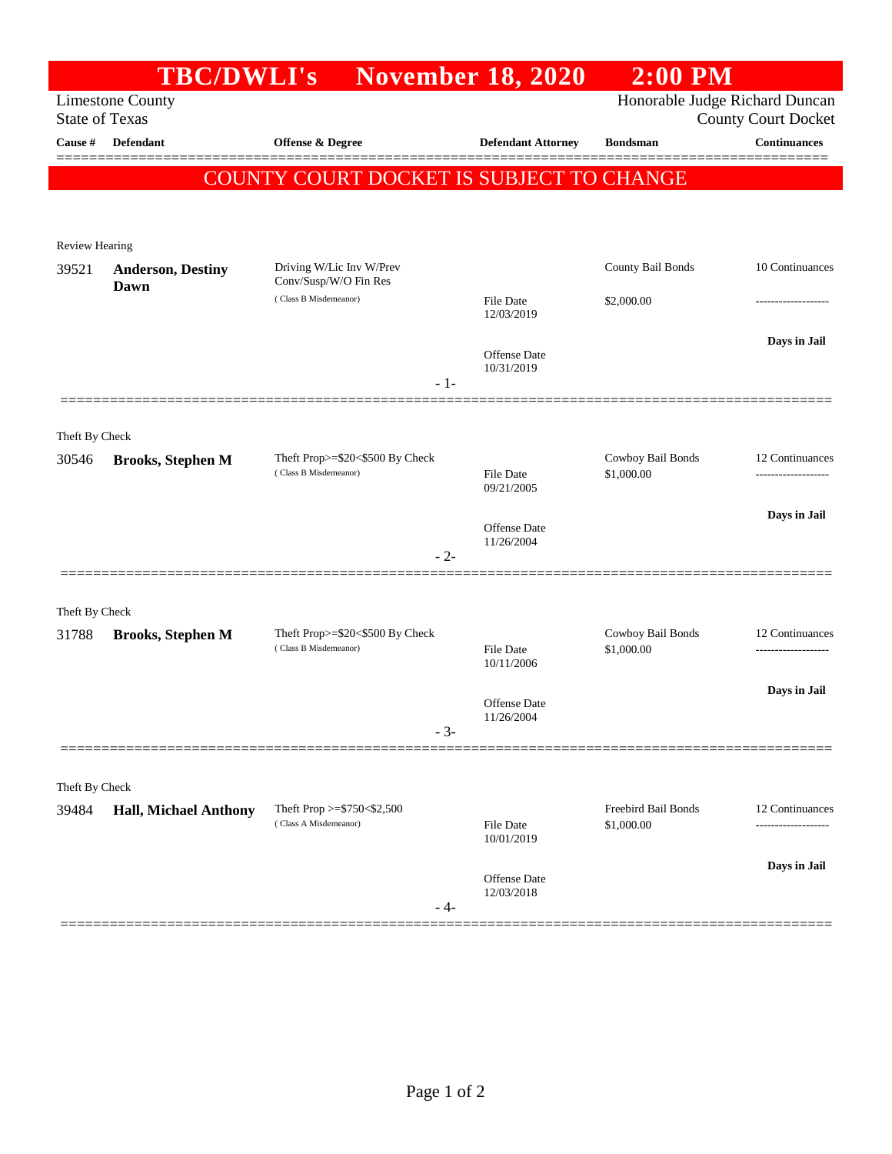|                       |                                  | <b>TBC/DWLI's</b> November 18, 2020                                        |                                | $2:00$ PM                         |                                |
|-----------------------|----------------------------------|----------------------------------------------------------------------------|--------------------------------|-----------------------------------|--------------------------------|
|                       | <b>Limestone County</b>          |                                                                            | Honorable Judge Richard Duncan |                                   |                                |
| <b>State of Texas</b> |                                  |                                                                            |                                |                                   | <b>County Court Docket</b>     |
| Cause #               | <b>Defendant</b>                 | <b>Offense &amp; Degree</b>                                                | <b>Defendant Attorney</b>      | <b>Bondsman</b>                   | <b>Continuances</b><br>======= |
|                       |                                  | <b>COUNTY COURT DOCKET IS SUBJECT TO CHANGE</b>                            |                                |                                   |                                |
|                       |                                  |                                                                            |                                |                                   |                                |
| Review Hearing        |                                  |                                                                            |                                |                                   |                                |
| 39521                 | <b>Anderson, Destiny</b><br>Dawn | Driving W/Lic Inv W/Prev<br>Conv/Susp/W/O Fin Res<br>(Class B Misdemeanor) |                                | County Bail Bonds                 | 10 Continuances                |
|                       |                                  |                                                                            | File Date                      |                                   |                                |
|                       |                                  |                                                                            | 12/03/2019                     | \$2,000.00                        |                                |
|                       |                                  |                                                                            |                                |                                   | Days in Jail                   |
|                       |                                  |                                                                            | Offense Date<br>10/31/2019     |                                   |                                |
|                       |                                  | $-1-$                                                                      |                                |                                   |                                |
|                       |                                  |                                                                            |                                |                                   |                                |
| Theft By Check        |                                  | Theft Prop>=\$20<\$500 By Check                                            |                                | Cowboy Bail Bonds                 | 12 Continuances                |
| 30546                 | <b>Brooks, Stephen M</b>         | (Class B Misdemeanor)                                                      | File Date                      | \$1,000.00                        |                                |
|                       |                                  |                                                                            | 09/21/2005                     |                                   |                                |
|                       |                                  |                                                                            | Offense Date                   |                                   | Days in Jail                   |
|                       |                                  | $-2-$                                                                      | 11/26/2004                     |                                   |                                |
|                       |                                  |                                                                            |                                |                                   |                                |
| Theft By Check        |                                  |                                                                            |                                |                                   |                                |
| 31788                 | <b>Brooks, Stephen M</b>         | Theft Prop>=\$20<\$500 By Check<br>(Class B Misdemeanor)                   |                                | Cowboy Bail Bonds<br>\$1,000.00   | 12 Continuances                |
|                       |                                  |                                                                            | File Date<br>10/11/2006        |                                   |                                |
|                       |                                  |                                                                            |                                |                                   | Days in Jail                   |
|                       |                                  |                                                                            | Offense Date<br>11/26/2004     |                                   |                                |
|                       |                                  | $-3-$                                                                      |                                |                                   |                                |
|                       |                                  |                                                                            |                                |                                   |                                |
| Theft By Check        |                                  |                                                                            |                                |                                   |                                |
| 39484                 | <b>Hall, Michael Anthony</b>     | Theft Prop >=\$750<\$2,500<br>(Class A Misdemeanor)                        | File Date                      | Freebird Bail Bonds<br>\$1,000.00 | 12 Continuances                |
|                       |                                  |                                                                            | 10/01/2019                     |                                   |                                |
|                       |                                  |                                                                            | Offense Date                   |                                   | Days in Jail                   |
|                       |                                  |                                                                            | 12/03/2018                     |                                   |                                |
|                       |                                  | - 4-                                                                       |                                |                                   |                                |